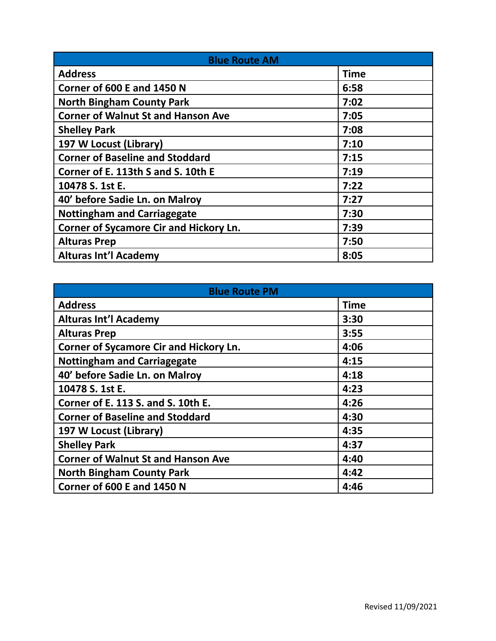| <b>Blue Route AM</b>                      |             |
|-------------------------------------------|-------------|
| <b>Address</b>                            | <b>Time</b> |
| Corner of 600 E and 1450 N                | 6:58        |
| <b>North Bingham County Park</b>          | 7:02        |
| <b>Corner of Walnut St and Hanson Ave</b> | 7:05        |
| <b>Shelley Park</b>                       | 7:08        |
| 197 W Locust (Library)                    | 7:10        |
| <b>Corner of Baseline and Stoddard</b>    | 7:15        |
| Corner of E. 113th S and S. 10th E        | 7:19        |
| 10478 S. 1st E.                           | 7:22        |
| 40' before Sadie Ln. on Malroy            | 7:27        |
| <b>Nottingham and Carriagegate</b>        | 7:30        |
| Corner of Sycamore Cir and Hickory Ln.    | 7:39        |
| <b>Alturas Prep</b>                       | 7:50        |
| <b>Alturas Int'l Academy</b>              | 8:05        |

| <b>Blue Route PM</b>                      |             |
|-------------------------------------------|-------------|
| <b>Address</b>                            | <b>Time</b> |
| <b>Alturas Int'l Academy</b>              | 3:30        |
| <b>Alturas Prep</b>                       | 3:55        |
| Corner of Sycamore Cir and Hickory Ln.    | 4:06        |
| <b>Nottingham and Carriagegate</b>        | 4:15        |
| 40' before Sadie Ln. on Malroy            | 4:18        |
| 10478 S. 1st E.                           | 4:23        |
| Corner of E. 113 S. and S. 10th E.        | 4:26        |
| <b>Corner of Baseline and Stoddard</b>    | 4:30        |
| 197 W Locust (Library)                    | 4:35        |
| <b>Shelley Park</b>                       | 4:37        |
| <b>Corner of Walnut St and Hanson Ave</b> | 4:40        |
| <b>North Bingham County Park</b>          | 4:42        |
| Corner of 600 E and 1450 N                | 4:46        |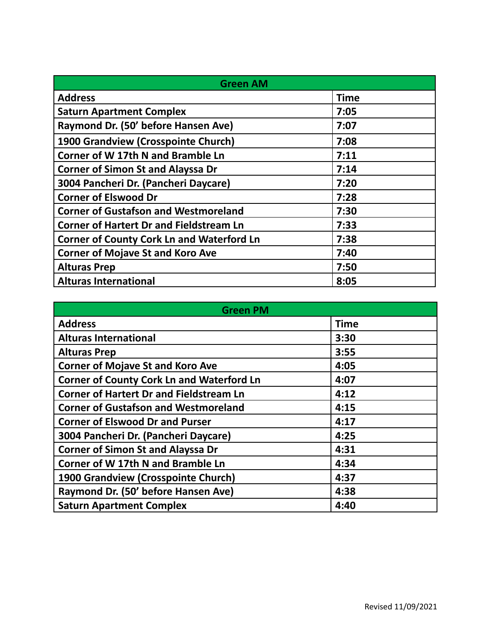| <b>Green AM</b>                                  |             |
|--------------------------------------------------|-------------|
| <b>Address</b>                                   | <b>Time</b> |
| <b>Saturn Apartment Complex</b>                  | 7:05        |
| Raymond Dr. (50' before Hansen Ave)              | 7:07        |
| 1900 Grandview (Crosspointe Church)              | 7:08        |
| <b>Corner of W 17th N and Bramble Ln</b>         | 7:11        |
| <b>Corner of Simon St and Alayssa Dr</b>         | 7:14        |
| 3004 Pancheri Dr. (Pancheri Daycare)             | 7:20        |
| <b>Corner of Elswood Dr</b>                      | 7:28        |
| <b>Corner of Gustafson and Westmoreland</b>      | 7:30        |
| <b>Corner of Hartert Dr and Fieldstream Ln</b>   | 7:33        |
| <b>Corner of County Cork Ln and Waterford Ln</b> | 7:38        |
| <b>Corner of Mojave St and Koro Ave</b>          | 7:40        |
| <b>Alturas Prep</b>                              | 7:50        |
| <b>Alturas International</b>                     | 8:05        |

| <b>Green PM</b>                                  |             |
|--------------------------------------------------|-------------|
| <b>Address</b>                                   | <b>Time</b> |
| <b>Alturas International</b>                     | 3:30        |
| <b>Alturas Prep</b>                              | 3:55        |
| <b>Corner of Mojave St and Koro Ave</b>          | 4:05        |
| <b>Corner of County Cork Ln and Waterford Ln</b> | 4:07        |
| <b>Corner of Hartert Dr and Fieldstream Ln</b>   | 4:12        |
| <b>Corner of Gustafson and Westmoreland</b>      | 4:15        |
| <b>Corner of Elswood Dr and Purser</b>           | 4:17        |
| 3004 Pancheri Dr. (Pancheri Daycare)             | 4:25        |
| <b>Corner of Simon St and Alayssa Dr</b>         | 4:31        |
| Corner of W 17th N and Bramble Ln                | 4:34        |
| 1900 Grandview (Crosspointe Church)              | 4:37        |
| Raymond Dr. (50' before Hansen Ave)              | 4:38        |
| <b>Saturn Apartment Complex</b>                  | 4:40        |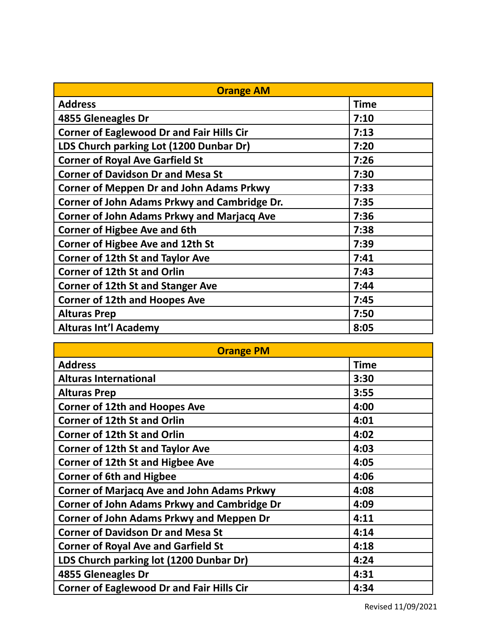| <b>Orange AM</b>                                  |             |
|---------------------------------------------------|-------------|
| <b>Address</b>                                    | <b>Time</b> |
| 4855 Gleneagles Dr                                | 7:10        |
| <b>Corner of Eaglewood Dr and Fair Hills Cir</b>  | 7:13        |
| LDS Church parking Lot (1200 Dunbar Dr)           | 7:20        |
| <b>Corner of Royal Ave Garfield St</b>            | 7:26        |
| <b>Corner of Davidson Dr and Mesa St</b>          | 7:30        |
| <b>Corner of Meppen Dr and John Adams Prkwy</b>   | 7:33        |
| Corner of John Adams Prkwy and Cambridge Dr.      | 7:35        |
| <b>Corner of John Adams Prkwy and Marjacq Ave</b> | 7:36        |
| <b>Corner of Higbee Ave and 6th</b>               | 7:38        |
| <b>Corner of Higbee Ave and 12th St</b>           | 7:39        |
| <b>Corner of 12th St and Taylor Ave</b>           | 7:41        |
| <b>Corner of 12th St and Orlin</b>                | 7:43        |
| <b>Corner of 12th St and Stanger Ave</b>          | 7:44        |
| <b>Corner of 12th and Hoopes Ave</b>              | 7:45        |
| <b>Alturas Prep</b>                               | 7:50        |
| <b>Alturas Int'l Academy</b>                      | 8:05        |

| <b>Orange PM</b>                                   |             |
|----------------------------------------------------|-------------|
| <b>Address</b>                                     | <b>Time</b> |
| <b>Alturas International</b>                       | 3:30        |
| <b>Alturas Prep</b>                                | 3:55        |
| <b>Corner of 12th and Hoopes Ave</b>               | 4:00        |
| <b>Corner of 12th St and Orlin</b>                 | 4:01        |
| <b>Corner of 12th St and Orlin</b>                 | 4:02        |
| <b>Corner of 12th St and Taylor Ave</b>            | 4:03        |
| <b>Corner of 12th St and Higbee Ave</b>            | 4:05        |
| <b>Corner of 6th and Higbee</b>                    | 4:06        |
| <b>Corner of Marjacq Ave and John Adams Prkwy</b>  | 4:08        |
| <b>Corner of John Adams Prkwy and Cambridge Dr</b> | 4:09        |
| <b>Corner of John Adams Prkwy and Meppen Dr</b>    | 4:11        |
| <b>Corner of Davidson Dr and Mesa St</b>           | 4:14        |
| <b>Corner of Royal Ave and Garfield St</b>         | 4:18        |
| LDS Church parking lot (1200 Dunbar Dr)            | 4:24        |
| 4855 Gleneagles Dr                                 | 4:31        |
| <b>Corner of Eaglewood Dr and Fair Hills Cir</b>   | 4:34        |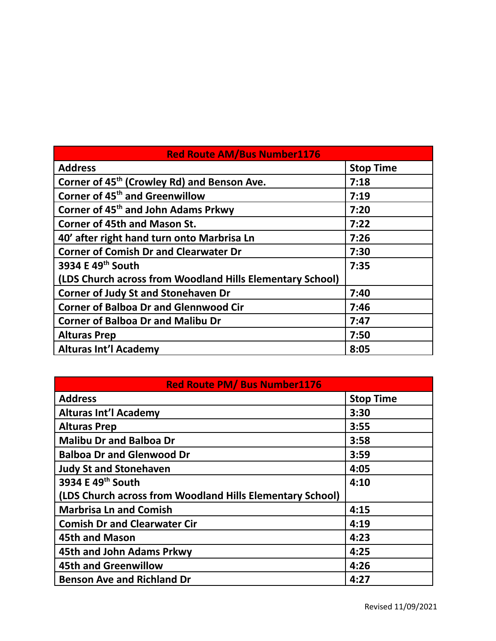| <b>Red Route AM/Bus Number1176</b>                        |                  |
|-----------------------------------------------------------|------------------|
| <b>Address</b>                                            | <b>Stop Time</b> |
| Corner of 45 <sup>th</sup> (Crowley Rd) and Benson Ave.   | 7:18             |
| Corner of 45 <sup>th</sup> and Greenwillow                | 7:19             |
| Corner of 45 <sup>th</sup> and John Adams Prkwy           | 7:20             |
| <b>Corner of 45th and Mason St.</b>                       | 7:22             |
| 40' after right hand turn onto Marbrisa Ln                | 7:26             |
| <b>Corner of Comish Dr and Clearwater Dr</b>              | 7:30             |
| 3934 E 49th South                                         | 7:35             |
| (LDS Church across from Woodland Hills Elementary School) |                  |
| <b>Corner of Judy St and Stonehaven Dr</b>                | 7:40             |
| <b>Corner of Balboa Dr and Glennwood Cir</b>              | 7:46             |
| <b>Corner of Balboa Dr and Malibu Dr</b>                  | 7:47             |
| <b>Alturas Prep</b>                                       | 7:50             |
| <b>Alturas Int'l Academy</b>                              | 8:05             |

| <b>Red Route PM/ Bus Number1176</b>                       |                  |
|-----------------------------------------------------------|------------------|
| <b>Address</b>                                            | <b>Stop Time</b> |
| <b>Alturas Int'l Academy</b>                              | 3:30             |
| <b>Alturas Prep</b>                                       | 3:55             |
| <b>Malibu Dr and Balboa Dr</b>                            | 3:58             |
| <b>Balboa Dr and Glenwood Dr</b>                          | 3:59             |
| <b>Judy St and Stonehaven</b>                             | 4:05             |
| 3934 E 49th South                                         | 4:10             |
| (LDS Church across from Woodland Hills Elementary School) |                  |
| <b>Marbrisa Ln and Comish</b>                             | 4:15             |
| <b>Comish Dr and Clearwater Cir</b>                       | 4:19             |
| <b>45th and Mason</b>                                     | 4:23             |
| 45th and John Adams Prkwy                                 | 4:25             |
| <b>45th and Greenwillow</b>                               | 4:26             |
| <b>Benson Ave and Richland Dr</b>                         | 4:27             |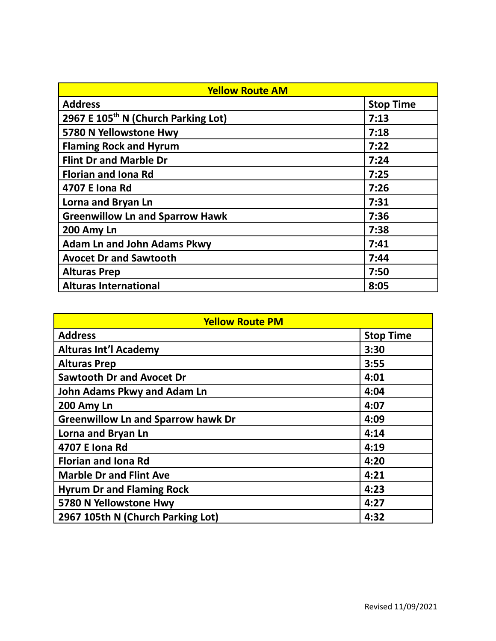| <b>Yellow Route AM</b>                          |                  |
|-------------------------------------------------|------------------|
| <b>Address</b>                                  | <b>Stop Time</b> |
| 2967 E 105 <sup>th</sup> N (Church Parking Lot) | 7:13             |
| 5780 N Yellowstone Hwy                          | 7:18             |
| <b>Flaming Rock and Hyrum</b>                   | 7:22             |
| <b>Flint Dr and Marble Dr</b>                   | 7:24             |
| <b>Florian and Iona Rd</b>                      | 7:25             |
| 4707 E Iona Rd                                  | 7:26             |
| Lorna and Bryan Ln                              | 7:31             |
| <b>Greenwillow Ln and Sparrow Hawk</b>          | 7:36             |
| 200 Amy Ln                                      | 7:38             |
| <b>Adam Ln and John Adams Pkwy</b>              | 7:41             |
| <b>Avocet Dr and Sawtooth</b>                   | 7:44             |
| <b>Alturas Prep</b>                             | 7:50             |
| <b>Alturas International</b>                    | 8:05             |

| <b>Yellow Route PM</b>                    |                  |
|-------------------------------------------|------------------|
| <b>Address</b>                            | <b>Stop Time</b> |
| <b>Alturas Int'l Academy</b>              | 3:30             |
| <b>Alturas Prep</b>                       | 3:55             |
| <b>Sawtooth Dr and Avocet Dr</b>          | 4:01             |
| John Adams Pkwy and Adam Ln               | 4:04             |
| 200 Amy Ln                                | 4:07             |
| <b>Greenwillow Ln and Sparrow hawk Dr</b> | 4:09             |
| Lorna and Bryan Ln                        | 4:14             |
| 4707 E Iona Rd                            | 4:19             |
| <b>Florian and Iona Rd</b>                | 4:20             |
| <b>Marble Dr and Flint Ave</b>            | 4:21             |
| <b>Hyrum Dr and Flaming Rock</b>          | 4:23             |
| 5780 N Yellowstone Hwy                    | 4:27             |
| 2967 105th N (Church Parking Lot)         | 4:32             |